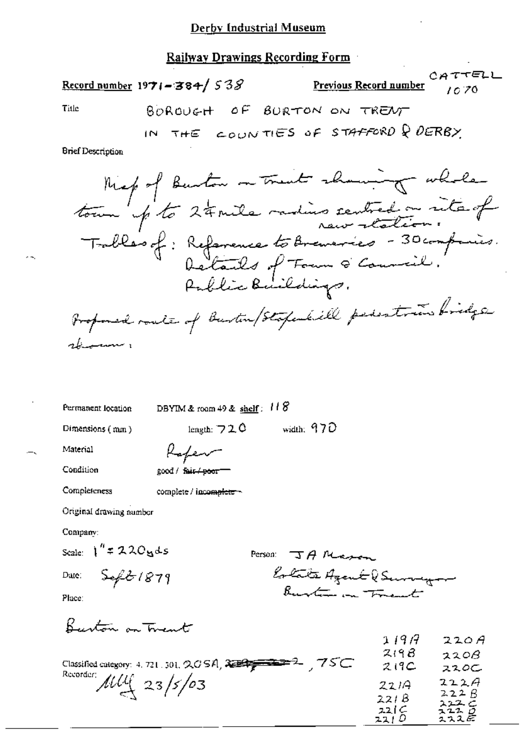# Railway Drawings Recording Form

Record number 1971-384/538

 $CATTELL$ Previous Record number 10.70

Title

**Brief Description** 

Permanent location

DBYIM & room 49 & shelf:  $118$ 

Dimensions (mm)

length:  $720$  width:  $970$ 

Material

|                               | ⊤r - |  |
|-------------------------------|------|--|
| good / fair <del>/poor=</del> |      |  |

سيهده لمهلا

Condition

Completeness

complete / incomplete ~

Original drawing number

Company:

Scale:  $1'' = 220yds$ 

Date:

Person: JA Massen Estate Agent & Surveyor Burton on Frent

Place:

Burton on Trent

 $Sefz1879$ 

|                            | 1197  | 220A         |
|----------------------------|-------|--------------|
|                            | 219B  | 220B         |
|                            | 219C  | ススロー         |
| Recorder: $\mu\mu$ 23/5/03 | 2214  | 222A         |
|                            | 221B  | 222B<br>ユエユニ |
|                            | 22C   | 222 O        |
|                            | 221 U | スススピ         |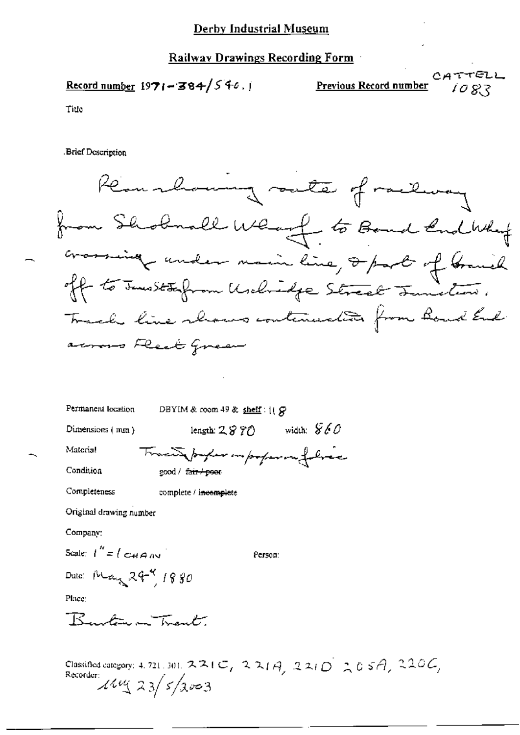## Derby Industrial Museum

## Railway Drawings Recording Form

$$
\underline{\text{Record number}} 1971 - 384 / 546.1
$$

 $CATTELL$ <br> $1083$ Previous Record number

Title

**Brief Description** 

| Kemmlaung sute of railway                        |
|--------------------------------------------------|
| from Shobnall What to Board End Why              |
| crossing under main line, I part of branch       |
| If to Junise typon Unclosingle Street Junistics. |
| Track line shows continuation from Board End.    |
| across Fleet Green                               |

| Permanent location                                       | DBYIM & room 49 & shelf: $(1, 8)$  |  |  |
|----------------------------------------------------------|------------------------------------|--|--|
| Dimensions (mm)                                          | width: $860$<br>length: $2\,8\,70$ |  |  |
| Material                                                 | Tracinforman improper in folice    |  |  |
| Condition                                                | good / fair / poor                 |  |  |
| Completeness                                             | complete / incomplete              |  |  |
| Original drawing number                                  |                                    |  |  |
| Company:                                                 |                                    |  |  |
| Scale: $I'' = (C_{\mathcal{A}} \rho_{\mathcal{A}})^{-1}$ | Person:                            |  |  |
| Date: May 29-9 1880                                      |                                    |  |  |
| Place:                                                   |                                    |  |  |
| Ruchara Trant                                            |                                    |  |  |
|                                                          |                                    |  |  |
|                                                          |                                    |  |  |

Classified earcgory: 4, 721, 301, 221C, 221A, 221D 205A, 220C,<br>Recorder:<br> $\frac{\lambda \mu_1 \mu_2}{23}$  5/2003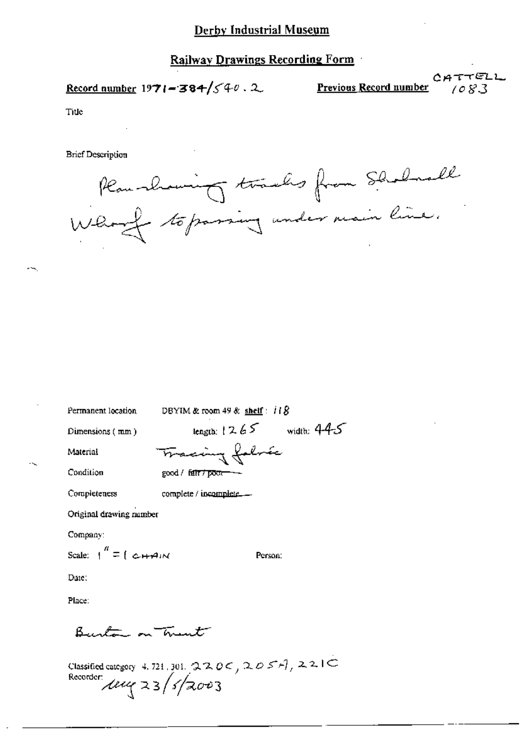#### Derby Industrial Museum

### Railway Drawings Recording Form

Record number 1971 = 384/
$$
\sqrt{40}
$$
. 2

CATTELL Previous Record number  $1083$ 

Title

**Brief Description** 



Permanent location

DBYIM & room 49 & shelf:  $118$  $length: 1265$  width:  $445$ 

Dimensions  $(mm)$ 

Material

Condition

Tracing folme  $good /$  fair  $7$  poor-

Completeness complete / incomplete......

Original drawing number

Company:

Scale:  $\int_0^{\pi}$  =  $\int$   $\omega + \rho \, \mathrm{d}x$ 

Person:

Date:

Place:

Bustin on hunt

Classified category 4.721, 301, 220C, 205+1, 221C<br>Recorder:<br>Letty 23/s/2003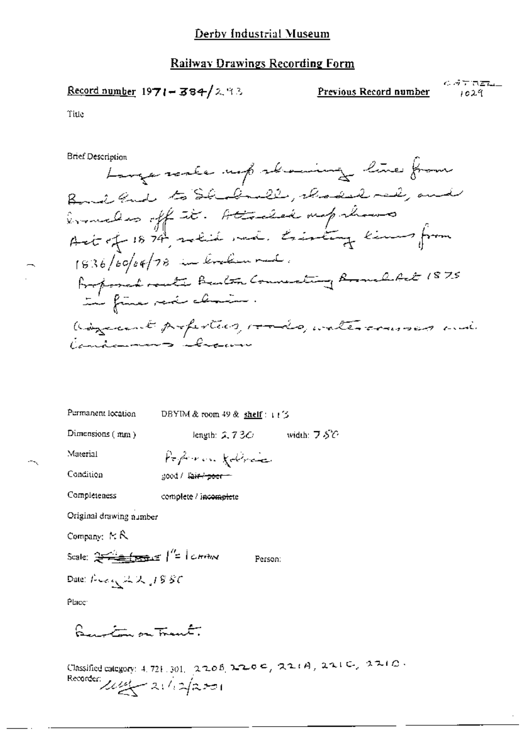#### **Railway Drawings Recording Form**

$$
\underline{\text{Record number}} 1971 - 384 / 2.93
$$

Previous Record number

 $\epsilon$  at the  $L$ 1029

Title

**Brief Description** 

Longe reale up abouting line from Bond and to Shodenle, choose rad, and ermeles off it. Attalia mplease Act of 1874, which me . tristing kim from 1836/60/04/78 in linken rad. Proposed route Barton Connecting Bould Ret 1875 the fine part claim. adjudicement profestivos romandos, untercomposas mais Candamnens blues

| Permanent location                                 | DBYIM & room 49 & shelf: 口字      |            |  |
|----------------------------------------------------|----------------------------------|------------|--|
| Dimensions $(mn)$                                  | length: $2.73C$                  | width: フぷひ |  |
| Material                                           | Poperon follows                  |            |  |
| Condition                                          | good / l <del>air / poer m</del> |            |  |
| Completeness                                       | complete / incomplete            |            |  |
| Original drawing number                            |                                  |            |  |
| Company: $\approx$ $\mathcal{R}$                   |                                  |            |  |
| Scale: $2\frac{2}{\sqrt{2}}\frac{1}{\sqrt{2}}$     | Person:                          |            |  |
| Date: $F \sim \epsilon \sqrt{\omega} \propto 1886$ |                                  |            |  |
| Place:                                             |                                  |            |  |

<u>Lauritin on traut.</u>

Classified category: 4, 721, 301, 2206, 2206, 220 e, 221A, 221C, 221O. Recorder 11/2/201